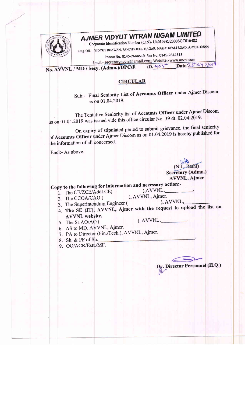

## AJMER VIDYUT VITRAN NIGAM LIMITED

Corporate Identification Number (CIN)- U40109RJ2000SGC016482 Resg. Off. :- VIDYUT BHAWAN, PANCHSHEEL NAGAR, MAKADWALI ROAD, AJMER-305004

Phone No. 0145-2644519 Fax No. 0145-2644518

Email:- secretaryavvnl@gmail.com, Website:- www.avvnl.com Date 25.04.2019

 $1D.405$ No. AVVNL / MD / Secy. (Admn.)/DPC/F.

## **CIRCULAR**

Sub:- Final Seniority List of Accounts Officer under Ajmer Discom as on 01.04.2019.

The Tentative Seniority list of Accounts Officer under Ajmer Discom as on 01.04.2019 was issued vide this office circular No. 39 dt. 02.04.2019.

On expiry of stipulated period to submit grievance, the final seniority of Accounts Officer under Ajmer Discom as on 01.04.2019 is hereby published for the information of all concerned.

Encl:- As above.

 $(N.L.Ratni)$ Secretary (Admn.) AVVNL, Ajmer

Dy. Director Personnel (H.Q.)

Copy to the following for information and necessary action:- $, AVVNL,$ 

- 1. The CE/ZCE/Addl.CE(
- ), AVVNL, Ajmer. 2. The CCOA/CAO ( ), AVVNL,
- 3. The Superintending Engineer (
- 4. The SE (IT), AVVNL, Ajmer with the request to upload the list on **AVVNL** website.
- 5. The Sr.AO/AO (

 $, AVVNL,$ 

- 6. AS to MD, AVVNL, Ajmer.
- 7. PA to Director (Fin./Tech.), AVVNL, Ajmer.
- 8. Sh. & PF of Sh.
- 9. OO/ACR/Estt./MF.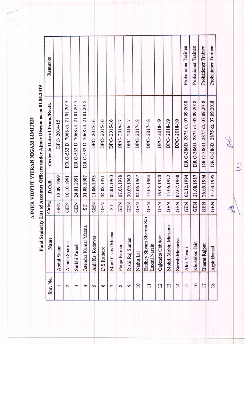AJMER VIDYUT VITRAN NIGAM LIMITED

Final Seniority List of Accounts Officers under Ajmer Discom as on 01.04.2019

|                          | <b>FERGE COMPORTS</b>                   |            |            |                                 |                     |
|--------------------------|-----------------------------------------|------------|------------|---------------------------------|---------------------|
| Snr. No.                 | Name                                    | Categ      | D.O.B.     | Order & Date of Prom./Rectt.    | Remarks             |
|                          | <b>Abdul Salam</b>                      | GEN        | 12.09.1969 | DPC-2014-15                     |                     |
| $\overline{\mathcal{C}}$ | Ashish Sharma                           | <b>GEN</b> | 10.10.1991 | DR O-533 D. 7068 dt. 21.01.2015 |                     |
| 3                        | Surbhi Pareek                           | GEN        | 24.01.1991 | DR O-533 D. 7068 dt. 21.01.2015 |                     |
| 4                        | Jetendra Kumar Meena                    | ST         | 01.08.1987 | DR O-533 D. 7068 dt. 21.01.2015 |                     |
| 47                       | Anil Kr. Kedawat                        | GEN        | 11.06.1973 | DPC-2015-16                     |                     |
| $\circ$                  | D.S.Rathore                             | <b>GEN</b> | 04.08.1971 | DPC-2015-16                     |                     |
| r                        | Mool Chand Meena                        | <b>LS</b>  | 05.01.1960 | DPC-2015-16                     |                     |
| $\infty$                 | Pooja Parmar                            | <b>GEN</b> | 07.08.1978 | DPC-2016-17                     |                     |
| $\circ$                  | Rishi Raj Suman                         | <b>GEN</b> | 30.09.1960 | DPC-2016-17                     |                     |
| $\overline{10}$          | Nathu Lal                               | <b>GEN</b> | 04.06.1967 | DPC-2017-18                     |                     |
|                          | Radhey Shyam Sharma S/o<br>Laxmi Narain | <b>GEN</b> | 15.03.1964 | DPC-2017-18                     |                     |
| 12                       | Gajendra Chhitora                       | <b>GEN</b> | 16.08.1970 | DPC-2018-19                     |                     |
| 13                       | Mohd. Mobin Mansoori                    | <b>GEN</b> | 15.06.1972 | DPC-2018-19                     |                     |
| 14                       | Suresh Menariya                         | <b>GEN</b> | 07.07.1968 | DPC-2018-19                     |                     |
| 15                       | Alok Tiwari                             | <b>GEN</b> | 02.12.1994 | DR O-386D. 2875 dt. 07.09.2018  | Probationer Trainee |
| 16                       | Khushboo Jain                           | <b>GEN</b> | 21.08.1987 | DR O-386D. 2875 dt. 07.09.2018  | Probationer Trainee |
| 17                       | <b>Bharat Rajput</b>                    | <b>GEN</b> | 26.05.1994 | DR O-386D. 2875 dt. 07.09.2018  | Probationer Trainee |
| 18                       | Arpit Bansal                            | <b>GEN</b> | 31.03.1995 | DR O-386D. 2875 dt. 07.09.2018  | Probationer Trainee |

 $\overline{c}$ 

 $M$